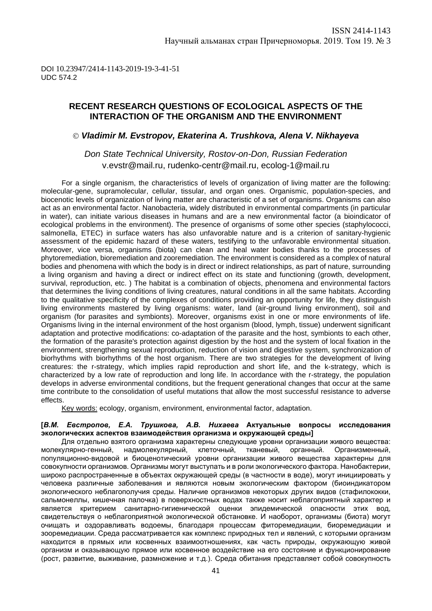## **RECENT RESEARCH QUESTIONS OF ECOLOGICAL ASPECTS OF THE INTERACTION OF THE ORGANISM AND THE ENVIRONMENT**

### *Vladimir M. Evstropov, Ekaterina A. Trushkova, Alena V. Nikhayeva*

## *Don State Technical University, Rostov-on-Don, Russian Federation* v.evstr@mail.ru, rudenko-centr@mail.ru, ecolog-1@mail.ru

For a single organism, the characteristics of levels of organization of living matter are the following: molecular-gene, supramolecular, cellular, tissular, and organ ones. Organismic, population-species, and biocenotic levels of organization of living matter are characteristic of a set of organisms. Organisms can also act as an environmental factor. Nanobacteria, widely distributed in environmental compartments (in particular in water), can initiate various diseases in humans and are a new environmental factor (a bioindicator of ecological problems in the environment). The presence of organisms of some other species (staphylococci, salmonella, ETEC) in surface waters has also unfavorable nature and is a criterion of sanitary-hygienic assessment of the epidemic hazard of these waters, testifying to the unfavorable environmental situation. Moreover, vice versa, organisms (biota) can clean and heal water bodies thanks to the processes of phytoremediation, bioremediation and zooremediation. The environment is considered as a complex of natural bodies and phenomena with which the body is in direct or indirect relationships, as part of nature, surrounding a living organism and having a direct or indirect effect on its state and functioning (growth, development, survival, reproduction, etc. ) The habitat is a combination of objects, phenomena and environmental factors that determines the living conditions of living creatures, natural conditions in all the same habitats. According to the qualitative specificity of the complexes of conditions providing an opportunity for life, they distinguish living environments mastered by living organisms: water, land (air-ground living environment), soil and organism (for parasites and symbionts). Moreover, organisms exist in one or more environments of life. Organisms living in the internal environment of the host organism (blood, lymph, tissue) underwent significant adaptation and protective modifications: co-adaptation of the parasite and the host, symbionts to each other, the formation of the parasite's protection against digestion by the host and the system of local fixation in the environment, strengthening sexual reproduction, reduction of vision and digestive system, synchronization of biorhythms with biorhythms of the host organism. There are two strategies for the development of living creatures: the r-strategy, which implies rapid reproduction and short life, and the k-strategy, which is characterized by a low rate of reproduction and long life. In accordance with the r-strategy, the population develops in adverse environmental conditions, but the frequent generational changes that occur at the same time contribute to the consolidation of useful mutations that allow the most successful resistance to adverse effects.

Key words: ecology, organism, environment, environmental factor, adaptation.

#### **[***В.М. Евстропов, Е.А. Трушкова, А.В. Нихаева* **Актуальные вопросы исследования экологических аспектов взаимодействия организма и окружающей среды]**

Для отдельно взятого организма характерны следующие уровни организации живого вещества: молекулярно-генный, надмолекулярный, клеточный, тканевый, органный. Организменный, популяционно-видовой и биоценотический уровни организации живого вещества характерны для совокупности организмов. Организмы могут выступать и в роли экологического фактора. Нанобактерии, широко распространенные в объектах окружающей среды (в частности в воде), могут инициировать у человека различные заболевания и являются новым экологическим фактором (биоиндикатором экологического неблагополучия среды. Наличие организмов некоторых других видов (стафилококки, сальмонеллы, кишечная палочка) в поверхностных водах также носит неблагоприятный характер и является критерием санитарно-гигиенической оценки эпидемической опасности этих вод, свидетельствуя о неблагоприятной экологической обстановке. И наоборот, организмы (биота) могут очищать и оздоравливать водоемы, благодаря процессам фиторемедиации, биоремедиации и зооремедиации. Среда рассматривается как комплекс природных тел и явлений, с которыми организм находится в прямых или косвенных взаимоотношениях, как часть природы, окружающую живой организм и оказывающую прямое или косвенное воздействие на его состояние и функционирование (рост, развитие, выживание, размножение и т.д.). Среда обитания представляет собой совокупность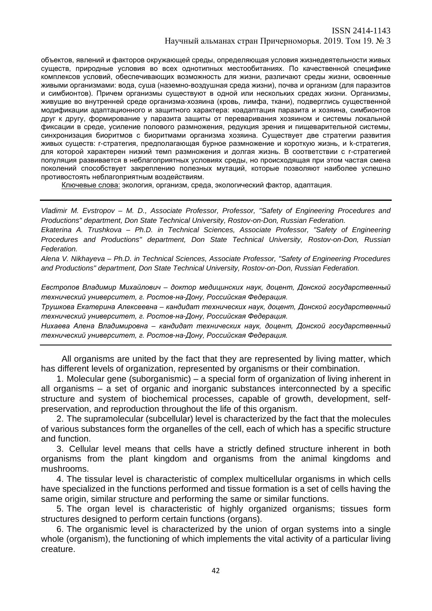объектов, явлений и факторов окружающей среды, определяющая условия жизнедеятельности живых существ, природные условия во всех однотипных местообитаниях. По качественной специфике комплексов условий, обеспечивающих возможность для жизни, различают среды жизни, освоенные живыми организмами: вода, суша (наземно-воздушная среда жизни), почва и организм (для паразитов и симбионтов). Причем организмы существуют в одной или нескольких средах жизни. Организмы, живущие во внутренней среде организма-хозяина (кровь, лимфа, ткани), подверглись существенной модификации адаптационного и защитного характера: коадаптация паразита и хозяина, симбионтов друг к другу, формирование у паразита защиты от переваривания хозяином и системы локальной фиксации в среде, усиление полового размножения, редукция зрения и пищеварительной системы, синхронизация биоритмов с биоритмами организма хозяина. Существует две стратегии развития живых существ: r-стратегия, предполагающая бурное размножение и короткую жизнь, и k-стратегия, для которой характерен низкий темп размножения и долгая жизнь. В соответствии с r-стратегией популяция развивается в неблагоприятных условиях среды, но происходящая при этом частая смена поколений способствует закреплению полезных мутаций, которые позволяют наиболее успешно противостоять неблагоприятным воздействиям.

Ключевые слова: экология, организм, среда, экологический фактор, адаптация.

*Vladimir M. Evstropov – M. D., Associate Professor, Professor, "Safety of Engineering Procedures and Productions" department, Don State Technical University, Rostov-on-Don, Russian Federation.*

*Ekaterina A. Trushkova – Ph.D. in Technical Sciences, Associate Professor, "Safety of Engineering Procedures and Productions" department, Don State Technical University, Rostov-on-Don, Russian Federation.*

*Alena V. Nikhayeva – Ph.D. in Technical Sciences, Associate Professor, "Safety of Engineering Procedures and Productions" department, Don State Technical University, Rostov-on-Don, Russian Federation.*

*Евстропов Владимир Михайлович – доктор медицинских наук, доцент, Донской государственный технический университет, г. Ростов-на-Дону, Российская Федерация.*

*Трушкова Екатерина Алексеевна – кандидат технических наук, доцент, Донской государственный технический университет, г. Ростов-на-Дону, Российская Федерация.*

*Нихаева Алена Владимировна – кандидат технических наук, доцент, Донской государственный технический университет, г. Ростов-на-Дону, Российская Федерация.*

All organisms are united by the fact that they are represented by living matter, which has different levels of organization, represented by organisms or their combination.

1. Molecular gene (suborganismic) – a special form of organization of living inherent in all organisms – a set of organic and inorganic substances interconnected by a specific structure and system of biochemical processes, capable of growth, development, selfpreservation, and reproduction throughout the life of this organism.

2. The supramolecular (subcellular) level is characterized by the fact that the molecules of various substances form the organelles of the cell, each of which has a specific structure and function.

3. Cellular level means that cells have a strictly defined structure inherent in both organisms from the plant kingdom and organisms from the animal kingdoms and mushrooms.

4. The tissular level is characteristic of complex multicellular organisms in which cells have specialized in the functions performed and tissue formation is a set of cells having the same origin, similar structure and performing the same or similar functions.

5. The organ level is characteristic of highly organized organisms; tissues form structures designed to perform certain functions (organs).

6. The organismic level is characterized by the union of organ systems into a single whole (organism), the functioning of which implements the vital activity of a particular living creature.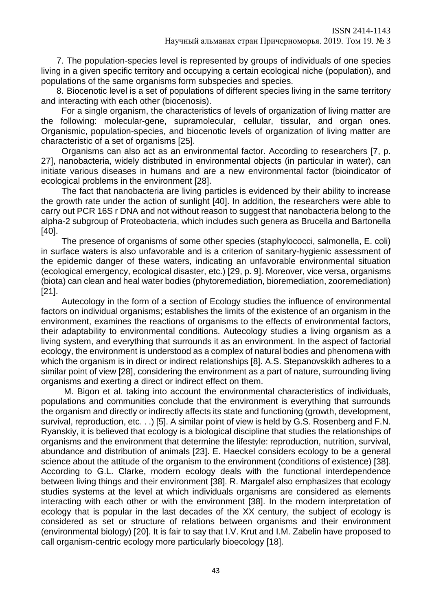7. The population-species level is represented by groups of individuals of one species living in a given specific territory and occupying a certain ecological niche (population), and populations of the same organisms form subspecies and species.

8. Biocenotic level is a set of populations of different species living in the same territory and interacting with each other (biocenosis).

For a single organism, the characteristics of levels of organization of living matter are the following: molecular-gene, supramolecular, cellular, tissular, and organ ones. Organismic, population-species, and biocenotic levels of organization of living matter are characteristic of a set of organisms [25].

Organisms can also act as an environmental factor. According to researchers [7, p. 27], nanobacteria, widely distributed in environmental objects (in particular in water), can initiate various diseases in humans and are a new environmental factor (bioindicator of ecological problems in the environment [28].

The fact that nanobacteria are living particles is evidenced by their ability to increase the growth rate under the action of sunlight [40]. In addition, the researchers were able to carry out PCR 16S r DNA and not without reason to suggest that nanobacteria belong to the alpha-2 subgroup of Proteobacteria, which includes such genera as Brucella and Bartonella [40].

The presence of organisms of some other species (staphylococci, salmonella, E. coli) in surface waters is also unfavorable and is a criterion of sanitary-hygienic assessment of the epidemic danger of these waters, indicating an unfavorable environmental situation (ecological emergency, ecological disaster, etc.) [29, p. 9]. Moreover, vice versa, organisms (biota) can clean and heal water bodies (phytoremediation, bioremediation, zooremediation) [21].

Autecology in the form of a section of Ecology studies the influence of environmental factors on individual organisms; establishes the limits of the existence of an organism in the environment, examines the reactions of organisms to the effects of environmental factors, their adaptability to environmental conditions. Autecology studies a living organism as a living system, and everything that surrounds it as an environment. In the aspect of factorial ecology, the environment is understood as a complex of natural bodies and phenomena with which the organism is in direct or indirect relationships [8]. A.S. Stepanovskikh adheres to a similar point of view [28], considering the environment as a part of nature, surrounding living organisms and exerting a direct or indirect effect on them.

M. Bigon et al. taking into account the environmental characteristics of individuals, populations and communities conclude that the environment is everything that surrounds the organism and directly or indirectly affects its state and functioning (growth, development, survival, reproduction, etc. . .) [5]. A similar point of view is held by G.S. Rosenberg and F.N. Ryanskiy, it is believed that ecology is a biological discipline that studies the relationships of organisms and the environment that determine the lifestyle: reproduction, nutrition, survival, abundance and distribution of animals [23]. E. Haeckel considers ecology to be a general science about the attitude of the organism to the environment (conditions of existence) [38]. According to G.L. Clarke, modern ecology deals with the functional interdependence between living things and their environment [38]. R. Margalef also emphasizes that ecology studies systems at the level at which individuals organisms are considered as elements interacting with each other or with the environment [38]. In the modern interpretation of ecology that is popular in the last decades of the XX century, the subject of ecology is considered as set or structure of relations between organisms and their environment (environmental biology) [20]. It is fair to say that I.V. Krut and I.M. Zabelin have proposed to call organism-centric ecology more particularly bioecology [18].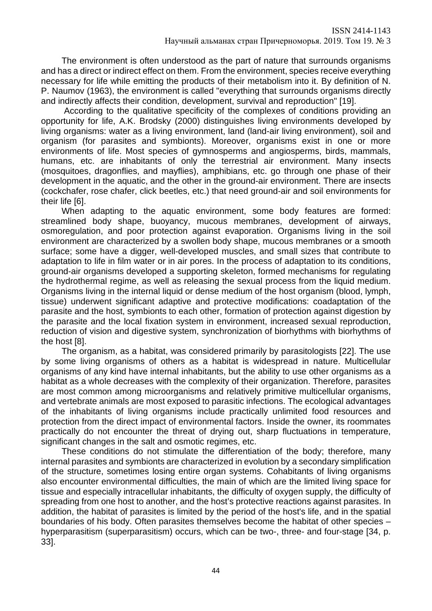The environment is often understood as the part of nature that surrounds organisms and has a direct or indirect effect on them. From the environment, species receive everything necessary for life while emitting the products of their metabolism into it. By definition of N. P. Naumov (1963), the environment is called "everything that surrounds organisms directly and indirectly affects their condition, development, survival and reproduction" [19].

According to the qualitative specificity of the complexes of conditions providing an opportunity for life, A.K. Brodsky (2000) distinguishes living environments developed by living organisms: water as a living environment, land (land-air living environment), soil and organism (for parasites and symbionts). Moreover, organisms exist in one or more environments of life. Most species of gymnosperms and angiosperms, birds, mammals, humans, etc. are inhabitants of only the terrestrial air environment. Many insects (mosquitoes, dragonflies, and mayflies), amphibians, etc. go through one phase of their development in the aquatic, and the other in the ground-air environment. There are insects (cockchafer, rose chafer, click beetles, etc.) that need ground-air and soil environments for their life [6].

When adapting to the aquatic environment, some body features are formed: streamlined body shape, buoyancy, mucous membranes, development of airways, osmoregulation, and poor protection against evaporation. Organisms living in the soil environment are characterized by a swollen body shape, mucous membranes or a smooth surface; some have a digger, well-developed muscles, and small sizes that contribute to adaptation to life in film water or in air pores. In the process of adaptation to its conditions, ground-air organisms developed a supporting skeleton, formed mechanisms for regulating the hydrothermal regime, as well as releasing the sexual process from the liquid medium. Organisms living in the internal liquid or dense medium of the host organism (blood, lymph, tissue) underwent significant adaptive and protective modifications: coadaptation of the parasite and the host, symbionts to each other, formation of protection against digestion by the parasite and the local fixation system in environment, increased sexual reproduction, reduction of vision and digestive system, synchronization of biorhythms with biorhythms of the host [8].

The organism, as a habitat, was considered primarily by parasitologists [22]. The use by some living organisms of others as a habitat is widespread in nature. Multicellular organisms of any kind have internal inhabitants, but the ability to use other organisms as a habitat as a whole decreases with the complexity of their organization. Therefore, parasites are most common among microorganisms and relatively primitive multicellular organisms, and vertebrate animals are most exposed to parasitic infections. The ecological advantages of the inhabitants of living organisms include practically unlimited food resources and protection from the direct impact of environmental factors. Inside the owner, its roommates practically do not encounter the threat of drying out, sharp fluctuations in temperature, significant changes in the salt and osmotic regimes, etc.

These conditions do not stimulate the differentiation of the body; therefore, many internal parasites and symbionts are characterized in evolution by a secondary simplification of the structure, sometimes losing entire organ systems. Cohabitants of living organisms also encounter environmental difficulties, the main of which are the limited living space for tissue and especially intracellular inhabitants, the difficulty of oxygen supply, the difficulty of spreading from one host to another, and the host's protective reactions against parasites. In addition, the habitat of parasites is limited by the period of the host's life, and in the spatial boundaries of his body. Often parasites themselves become the habitat of other species – hyperparasitism (superparasitism) occurs, which can be two-, three- and four-stage [34, p. 33].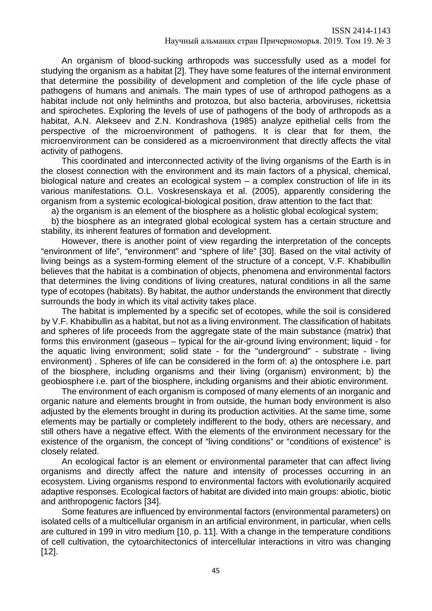An organism of blood-sucking arthropods was successfully used as a model for studying the organism as a habitat [2]. They have some features of the internal environment that determine the possibility of development and completion of the life cycle phase of pathogens of humans and animals. The main types of use of arthropod pathogens as a habitat include not only helminths and protozoa, but also bacteria, arboviruses, rickettsia and spirochetes. Exploring the levels of use of pathogens of the body of arthropods as a habitat, A.N. Alekseev and Z.N. Kondrashova (1985) analyze epithelial cells from the perspective of the microenvironment of pathogens. It is clear that for them, the microenvironment can be considered as a microenvironment that directly affects the vital activity of pathogens.

This coordinated and interconnected activity of the living organisms of the Earth is in the closest connection with the environment and its main factors of a physical, chemical, biological nature and creates an ecological system – a complex construction of life in its various manifestations. O.L. Voskresenskaya et al. (2005), apparently considering the organism from a systemic ecological-biological position, draw attention to the fact that:

a) the organism is an element of the biosphere as a holistic global ecological system;

b) the biosphere as an integrated global ecological system has a certain structure and stability, its inherent features of formation and development.

However, there is another point of view regarding the interpretation of the concepts "environment of life", "environment" and "sphere of life" [30]. Based on the vital activity of living beings as a system-forming element of the structure of a concept, V.F. Khabibullin believes that the habitat is a combination of objects, phenomena and environmental factors that determines the living conditions of living creatures, natural conditions in all the same type of ecotopes (habitats). By habitat, the author understands the environment that directly surrounds the body in which its vital activity takes place.

The habitat is implemented by a specific set of ecotopes, while the soil is considered by V.F. Khabibullin as a habitat, but not as a living environment. The classification of habitats and spheres of life proceeds from the aggregate state of the main substance (matrix) that forms this environment (gaseous – typical for the air-ground living environment; liquid - for the aquatic living environment; solid state - for the "underground" - substrate - living environment) . Spheres of life can be considered in the form of: a) the ontosphere i.e. part of the biosphere, including organisms and their living (organism) environment; b) the geobiosphere i.e. part of the biosphere, including organisms and their abiotic environment.

The environment of each organism is composed of many elements of an inorganic and organic nature and elements brought in from outside, the human body environment is also adjusted by the elements brought in during its production activities. At the same time, some elements may be partially or completely indifferent to the body, others are necessary, and still others have a negative effect. With the elements of the environment necessary for the existence of the organism, the concept of "living conditions" or "conditions of existence" is closely related.

An ecological factor is an element or environmental parameter that can affect living organisms and directly affect the nature and intensity of processes occurring in an ecosystem. Living organisms respond to environmental factors with evolutionarily acquired adaptive responses. Ecological factors of habitat are divided into main groups: abiotic, biotic and anthropogenic factors [34].

Some features are influenced by environmental factors (environmental parameters) on isolated cells of a multicellular organism in an artificial environment, in particular, when cells are cultured in 199 in vitro medium [10, p. 11]. With a change in the temperature conditions of cell cultivation, the cytoarchitectonics of intercellular interactions in vitro was changing [12].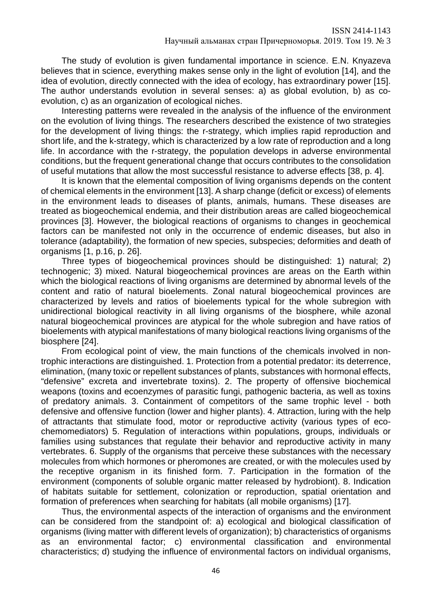The study of evolution is given fundamental importance in science. E.N. Knyazeva believes that in science, everything makes sense only in the light of evolution [14], and the idea of evolution, directly connected with the idea of ecology, has extraordinary power [15]. The author understands evolution in several senses: a) as global evolution, b) as coevolution, c) as an organization of ecological niches.

Interesting patterns were revealed in the analysis of the influence of the environment on the evolution of living things. The researchers described the existence of two strategies for the development of living things: the r-strategy, which implies rapid reproduction and short life, and the k-strategy, which is characterized by a low rate of reproduction and a long life. In accordance with the r-strategy, the population develops in adverse environmental conditions, but the frequent generational change that occurs contributes to the consolidation of useful mutations that allow the most successful resistance to adverse effects [38, p. 4].

It is known that the elemental composition of living organisms depends on the content of chemical elements in the environment [13]. A sharp change (deficit or excess) of elements in the environment leads to diseases of plants, animals, humans. These diseases are treated as biogeochemical endemia, and their distribution areas are called biogeochemical provinces [3]. However, the biological reactions of organisms to changes in geochemical factors can be manifested not only in the occurrence of endemic diseases, but also in tolerance (adaptability), the formation of new species, subspecies; deformities and death of organisms [1, p.16, p. 26].

Three types of biogeochemical provinces should be distinguished: 1) natural; 2) technogenic; 3) mixed. Natural biogeochemical provinces are areas on the Earth within which the biological reactions of living organisms are determined by abnormal levels of the content and ratio of natural bioelements. Zonal natural biogeochemical provinces are characterized by levels and ratios of bioelements typical for the whole subregion with unidirectional biological reactivity in all living organisms of the biosphere, while azonal natural biogeochemical provinces are atypical for the whole subregion and have ratios of bioelements with atypical manifestations of many biological reactions living organisms of the biosphere [24].

From ecological point of view, the main functions of the chemicals involved in nontrophic interactions are distinguished. 1. Protection from a potential predator: its deterrence, elimination, (many toxic or repellent substances of plants, substances with hormonal effects, "defensive" excreta and invertebrate toxins). 2. The property of offensive biochemical weapons (toxins and ecoenzymes of parasitic fungi, pathogenic bacteria, as well as toxins of predatory animals. 3. Containment of competitors of the same trophic level - both defensive and offensive function (lower and higher plants). 4. Attraction, luring with the help of attractants that stimulate food, motor or reproductive activity (various types of ecochemomediators) 5. Regulation of interactions within populations, groups, individuals or families using substances that regulate their behavior and reproductive activity in many vertebrates. 6. Supply of the organisms that perceive these substances with the necessary molecules from which hormones or pheromones are created, or with the molecules used by the receptive organism in its finished form. 7. Participation in the formation of the environment (components of soluble organic matter released by hydrobiont). 8. Indication of habitats suitable for settlement, colonization or reproduction, spatial orientation and formation of preferences when searching for habitats (all mobile organisms) [17].

Thus, the environmental aspects of the interaction of organisms and the environment can be considered from the standpoint of: a) ecological and biological classification of organisms (living matter with different levels of organization); b) characteristics of organisms as an environmental factor; c) environmental classification and environmental characteristics; d) studying the influence of environmental factors on individual organisms,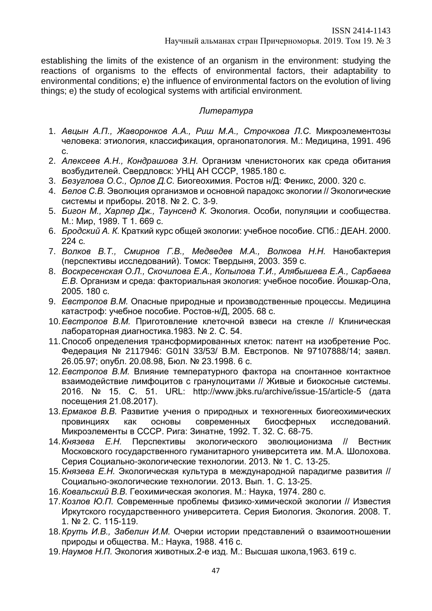establishing the limits of the existence of an organism in the environment: studying the reactions of organisms to the effects of environmental factors, their adaptability to environmental conditions; e) the influence of environmental factors on the evolution of living things; e) the study of ecological systems with artificial environment.

# *Литература*

- 1. *Авцын А.П., Жаворонков А.А., Риш М.А., Строчкова Л.С.* Микроэлементозы человека: этиология, классификация, органопатология. М.: Медицина, 1991. 496 с.
- 2. *Алексеев А.Н., Кондрашова З.Н.* Организм членистоногих как среда обитания возбудителей. Свердловск: УНЦ АН СССР, 1985.180 с.
- 3. *Безуглова О.С., Орлов Д.С.* Биогеохимия. Ростов н/Д: Феникс, 2000. 320 с.
- 4. *Белов С.В.* Эволюция организмов и основной парадокс экологии // Экологические системы и приборы. 2018. № 2. С. 3-9.
- 5. *Бигон М., Харпер Дж., Таунсенд К.* Экология. Особи, популяции и сообщества. М.: Мир, 1989. Т 1. 669 с.
- 6. *Бродский А. К.* Краткий курс общей экологии: учебное пособие. СПб.: ДЕАН. 2000. 224 с.
- 7. *Волков В.Т., Смирнов Г.В., Медведев М.А., Волкова Н.Н.* Нанобактерия (перспективы исследований). Томск: Твердыня, 2003. 359 с.
- 8. *Воскресенская О.Л., Скочилова Е.А., Копылова Т.И., Алябышева Е.А., Сарбаева Е.В.* Организм и среда: факториальная экология: учебное пособие. Йошкар-Ола, 2005. 180 с.
- 9. *Евстропов В.М.* Опасные природные и производственные процессы. Медицина катастроф: учебное пособие. Ростов-н/Д, 2005. 68 с.
- 10.*Евстропов В.М.* Приготовление клеточной взвеси на стекле // Клиническая лабораторная диагностика.1983. № 2. С. 54.
- 11.Способ определения трансформированных клеток: патент на изобретение Рос. Федерация № 2117946: G01N 33/53/ В.М. Евстропов. № 97107888/14; заявл. 26.05.97; опубл. 20.08.98, Бюл. № 23.1998. 6 с.
- 12.*Евстропов В.М.* Влияние температурного фактора на спонтанное контактное взаимодействие лимфоцитов с гранулоцитами // Живые и биокосные системы. 2016. № 15. С. 51. URL: http://www.jbks.ru/archive/issue-15/article-5 (дата посещения 21.08.2017).
- 13.*Ермаков В.В.* Развитие учения о природных и техногенных биогеохимических провинциях как основы современных биосферных исследований. Микроэлементы в СССР. Рига: Зинатне, 1992. Т. 32. С. 68-75.
- 14.*Князева Е.Н.* Перспективы экологического эволюционизма // Вестник Московского государственного гуманитарного университета им. М.А. Шолохова. Серия Социально-экологические технологии. 2013. № 1. С. 13-25.
- 15.*Князева Е.Н.* Экологическая культура в международной парадигме развития // Социально-экологические технологии. 2013. Вып. 1. С. 13-25.
- 16.*Ковальский В.В.* Геохимическая экология. М.: Наука, 1974. 280 с.
- 17.*Козлов Ю.П.* Современные проблемы физико-химической экологии // Известия Иркутского государственного университета. Серия Биология. Экология. 2008. Т. 1. № 2. С. 115-119.
- 18.*Круть И.В., Забелин И.М.* Очерки истории представлений о взаимоотношении природы и общества. М.: Наука, 1988. 416 с.
- 19.*Наумов Н.П.* Экология животных.2-е изд. М.: Высшая школа,1963. 619 с.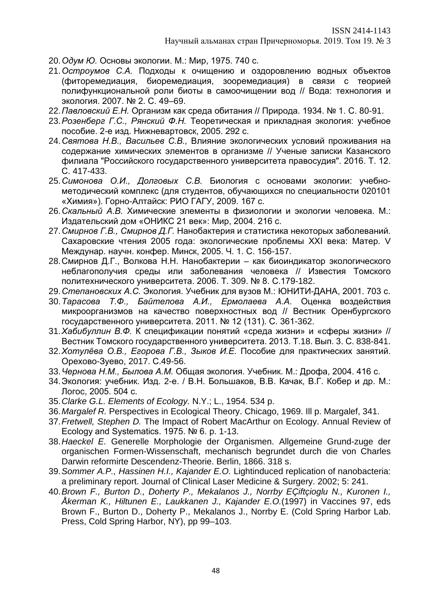ISSN 2414-1143

- 20.*Одум Ю.* Основы экологии. М.: Мир, 1975. 740 с.
- 21.*Остроумов С.А.* Подходы к очищению и оздоровлению водных объектов (фиторемедиация, биоремедиация, зооремедиация) в связи с теорией полифункциональной роли биоты в самоочищении вод // Вода: технология и экология. 2007. № 2. С. 49–69.
- 22.*Павловский Е.Н.* Организм как среда обитания // Природа. 1934. № 1. С. 80-91.
- 23.*Розенберг Г.С., Рянский Ф.Н.* Теоретическая и прикладная экология: учебное пособие. 2-е изд. Нижневартовск, 2005. 292 с.
- 24.*Святова Н.В., Васильев С.В.,* Влияние экологических условий проживания на содержание химических элементов в организме // Ученые записки Казанского филиала "Российского государственного университета правосудия". 2016. Т. 12. С. 417-433.
- 25.*Симонова О.И., Долговых С.В.* Биология с основами экологии: учебнометодический комплекс (для студентов, обучающихся по специальности 020101 «Химия»). Горно-Алтайск: РИО ГАГУ, 2009. 167 с.
- 26.*Скальный А.В.* Химические элементы в физиологии и экологии человека. М.: Издательский дом «ОНИКС 21 век»: Мир, 2004. 216 с.
- 27.*Смирнов Г.В., Смирнов Д.Г.* Нанобактерия и статистика некоторых заболеваний. Сахаровские чтения 2005 года: экологические проблемы XXI века: Матер. V Междунар. научн. конфер. Минск, 2005. Ч. 1. С. 156-157.
- 28.Смирнов Д.Г., Волкова Н.Н. Нанобактерии как биоиндикатор экологического неблагополучия среды или заболевания человека // Известия Томского политехнического университета. 2006. Т. 309. № 8. С.179-182.
- 29.*Степановских А.С.* Экология. Учебник для вузов М.: ЮНИТИ-ДАНА, 2001. 703 с.
- 30.*Тарасова Т.Ф., Байтелова А.И., Ермолаева А.А.* Оценка воздействия микроорганизмов на качество поверхностных вод // Вестник Оренбургского государственного университета. 2011. № 12 (131). С. 361-362.
- 31.*Хабибуллин В.Ф.* К спецификации понятий «среда жизни» и «сферы жизни» // Вестник Томского государственного университета. 2013. Т.18. Вып. 3. С. 838-841.
- 32.*Хотулёва О.В., Егорова Г.В., Зыков И.Е.* Пособие для практических занятий. Орехово-Зуево, 2017. С.49-56.
- 33.*Чернова Н.М., Былова А.М.* Общая экология. Учебник. М.: Дрофа, 2004. 416 с.
- 34.Экология: учебник. Изд. 2-е. / В.Н. Большаков, В.В. Качак, В.Г. Кобер и др. М.: Логос, 2005. 504 с.
- 35.*Clarke G.L. Elements of Ecology.* N.Y.; L., 1954. 534 p.
- 36.*Margalef R.* Perspectives in Ecological Theory. Chicago, 1969. Ill p. Margalef, 341.
- 37.*Fretwell, Stephen D.* The Impact of Robert MacArthur on Ecology. Annual Review of Ecology and Systematics. 1975. № 6. р. 1-13.
- 38.*Haeckel E.* Generelle Morphologie der Organismen. Allgemeine Grund-zuge der organischen Formen-Wissenschaft, mechanisch begrundet durch die von Charles Darwin reformirte Descendenz-Theorie. Berlin, 1866. 318 s.
- 39.*Sommer A.P., Hassinen H.I., Kajander E.O.* Lightinduced replication of nanobacteria: a preliminary report. Journal of Clinical Laser Medicine & Surgery. 2002; 5: 241.
- 40.*Brown F., Burton D., Doherty P., Mekalanos J., Norrby EÇiftçioglu N., Kuronen I., Åkerman K., Hiltunen E., Laukkanen J., Kajander E.O.*(1997) in Vaccines 97, eds Brown F., Burton D., Doherty P., Mekalanos J., Norrby E. (Cold Spring Harbor Lab. Press, Cold Spring Harbor, NY), pp 99–103.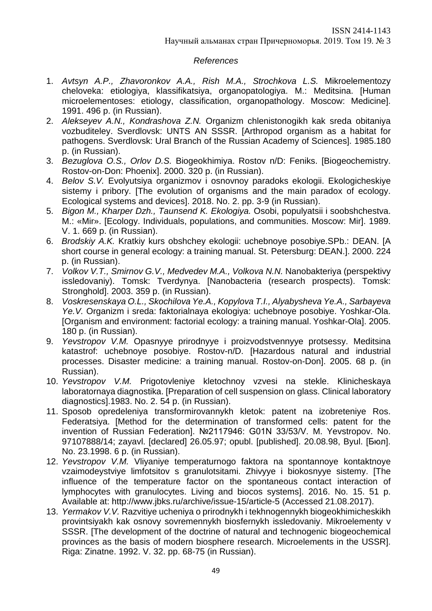# *References*

- 1. *Avtsyn A.P., Zhavoronkov A.A., Rish M.A., Strochkova L.S.* Mikroelementozy cheloveka: etiologiya, klassifikatsiya, organopatologiya. M.: Meditsina. [Human microelementoses: etiology, classification, organopathology. Moscow: Medicine]. 1991. 496 p. (in Russian).
- 2. *Alekseyev A.N., Kondrashova Z.N.* Organizm chlenistonogikh kak sreda obitaniya vozbuditeley. Sverdlovsk: UNTS AN SSSR. [Arthropod organism as a habitat for pathogens. Sverdlovsk: Ural Branch of the Russian Academy of Sciences]. 1985.180 p. (in Russian).
- 3. *Bezuglova O.S., Orlov D.S.* Biogeokhimiya. Rostov n/D: Feniks. [Biogeochemistry. Rostov-on-Don: Phoenix]. 2000. 320 p. (in Russian).
- 4. *Belov S.V.* Evolyutsiya organizmov i osnovnoy paradoks ekologii. Ekologicheskiye sistemy i pribory. [The evolution of organisms and the main paradox of ecology. Ecological systems and devices]. 2018. No. 2. pp. 3-9 (in Russian).
- 5. *Bigon M., Kharper Dzh., Taunsend K. Ekologiya.* Osobi, populyatsii i soobshchestva. M.: «Mir». [Ecology. Individuals, populations, and communities. Moscow: Mir]. 1989. V. 1. 669 p. (in Russian).
- 6. *Brodskiy A.K.* Kratkiy kurs obshchey ekologii: uchebnoye posobiye.SPb.: DEAN. [A short course in general ecology: a training manual. St. Petersburg: DEAN.]. 2000. 224 p. (in Russian).
- 7. *Volkov V.T., Smirnov G.V., Medvedev M.A., Volkova N.N.* Nanobakteriya (perspektivy issledovaniy). Tomsk: Tverdynya. [Nanobacteria (research prospects). Tomsk: Stronghold]. 2003. 359 p. (in Russian).
- 8. *Voskresenskaya O.L., Skochilova Ye.A., Kopylova T.I., Alyabysheva Ye.A., Sarbayeva Ye.V.* Organizm i sreda: faktorialnaya ekologiya: uchebnoye posobiye. Yoshkar-Ola. [Organism and environment: factorial ecology: a training manual. Yoshkar-Ola]. 2005. 180 p. (in Russian).
- 9. *Yevstropov V.M.* Opasnyye prirodnyye i proizvodstvennyye protsessy. Meditsina katastrof: uchebnoye posobiye. Rostov-n/D. [Hazardous natural and industrial processes. Disaster medicine: a training manual. Rostov-on-Don]. 2005. 68 p. (in Russian).
- 10. *Yevstropov V.M.* Prigotovleniye kletochnoy vzvesi na stekle. Klinicheskaya laboratornaya diagnostika. [Preparation of cell suspension on glass. Clinical laboratory diagnostics].1983. No. 2. 54 p. (in Russian).
- 11. Sposob opredeleniya transformirovannykh kletok: patent na izobreteniye Ros. Federatsiya. [Method for the determination of transformed cells: patent for the invention of Russian Federation]. №2117946: G01N 33/53/V. M. Yevstropov. No. 97107888/14; zayavl. [declared] 26.05.97; opubl. [published]. 20.08.98, Byul. [Бюл]. No. 23.1998. 6 p. (in Russian).
- 12. *Yevstropov V.M.* Vliyaniye temperaturnogo faktora na spontannoye kontaktnoye vzaimodeystviye limfotsitov s granulotsitami. Zhivyye i biokosnyye sistemy. [The influence of the temperature factor on the spontaneous contact interaction of lymphocytes with granulocytes. Living and biocos systems]. 2016. No. 15. 51 p. Available at: http://www.jbks.ru/archive/issue-15/article-5 (Accessed 21.08.2017).
- 13. *Yermakov V.V.* Razvitiye ucheniya o prirodnykh i tekhnogennykh biogeokhimicheskikh provintsiyakh kak osnovy sovremennykh biosfernykh issledovaniy. Mikroelementy v SSSR. [The development of the doctrine of natural and technogenic biogeochemical provinces as the basis of modern biosphere research. Microelements in the USSR]. Riga: Zinatne. 1992. V. 32. pp. 68-75 (in Russian).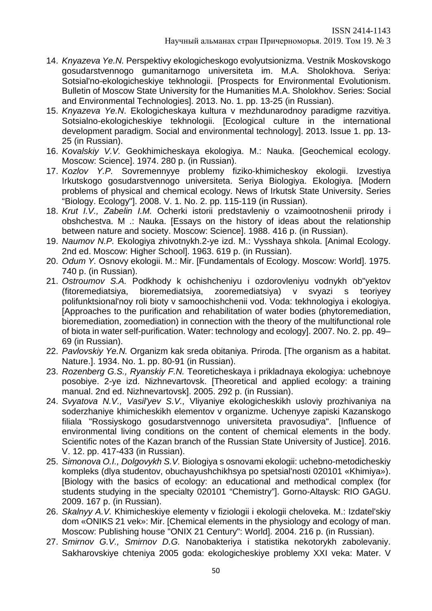- 14. *Knyazeva Ye.N.* Perspektivy ekologicheskogo evolyutsionizma. Vestnik Moskovskogo gosudarstvennogo gumanitarnogo universiteta im. M.A. Sholokhova. Seriya: Sotsial'no-ekologicheskiye tekhnologii. [Prospects for Environmental Evolutionism. Bulletin of Moscow State University for the Humanities M.A. Sholokhov. Series: Social and Environmental Technologies]. 2013. No. 1. pp. 13-25 (in Russian).
- 15. *Knyazeva Ye.N*. Ekologicheskaya kultura v mezhdunarodnoy paradigme razvitiya. Sotsialno-ekologicheskiye tekhnologii. [Ecological culture in the international development paradigm. Social and environmental technology]. 2013. Issue 1. pp. 13- 25 (in Russian).
- 16. *Kovalskiy V.V.* Geokhimicheskaya ekologiya. M.: Nauka. [Geochemical ecology. Moscow: Science]. 1974. 280 p. (in Russian).
- 17. *Kozlov Y.P.* Sovremennyye problemy fiziko-khimicheskoy ekologii. Izvestiya Irkutskogo gosudarstvennogo universiteta. Seriya Biologiya. Ekologiya. [Modern problems of physical and chemical ecology. News of Irkutsk State University. Series "Biology. Ecology"]. 2008. V. 1. No. 2. pp. 115-119 (in Russian).
- 18. *Krut I.V., Zabelin I.M.* Ocherki istorii predstavleniy o vzaimootnoshenii prirody i obshchestva. M .: Nauka. [Essays on the history of ideas about the relationship between nature and society. Moscow: Science]. 1988. 416 p. (in Russian).
- 19. *Naumov N.P.* Ekologiya zhivotnykh.2-ye izd. M.: Vysshaya shkola. [Animal Ecology. 2nd ed. Moscow: Higher School]. 1963. 619 p. (in Russian).
- 20. *Odum Y.* Osnovy ekologii. M.: Mir. [Fundamentals of Ecology. Moscow: World]. 1975. 740 p. (in Russian).
- 21. *Ostroumov S.A.* Podkhody k ochishcheniyu i ozdorovleniyu vodnykh ob"yektov (fitoremediatsiya, bioremediatsiya, zooremediatsiya) v svyazi s teoriyey polifunktsional'noy roli bioty v samoochishchenii vod. Voda: tekhnologiya i ekologiya. [Approaches to the purification and rehabilitation of water bodies (phytoremediation, bioremediation, zoomediation) in connection with the theory of the multifunctional role of biota in water self-purification. Water: technology and ecology]. 2007. No. 2. pp. 49– 69 (in Russian).
- 22. *Pavlovskiy Ye.N.* Organizm kak sreda obitaniya. Priroda. [The organism as a habitat. Nature.]. 1934. No. 1. pp. 80-91 (in Russian).
- 23. *Rozenberg G.S., Ryanskiy F.N.* Teoreticheskaya i prikladnaya ekologiya: uchebnoye posobiye. 2-ye izd. Nizhnevartovsk. [Theoretical and applied ecology: a training manual. 2nd ed. Nizhnevartovsk]. 2005. 292 p. (in Russian).
- 24. *Svyatova N.V., Vasil'yev S.V.,* Vliyaniye ekologicheskikh usloviy prozhivaniya na soderzhaniye khimicheskikh elementov v organizme. Uchenyye zapiski Kazanskogo filiala "Rossiyskogo gosudarstvennogo universiteta pravosudiya". [Influence of environmental living conditions on the content of chemical elements in the body. Scientific notes of the Kazan branch of the Russian State University of Justice]. 2016. V. 12. pp. 417-433 (in Russian).
- 25. *Simonova O.I., Dolgovykh S.V.* Biologiya s osnovami ekologii: uchebno-metodicheskiy kompleks (dlya studentov, obuchayushchikhsya po spetsial'nosti 020101 «Khimiya»). [Biology with the basics of ecology: an educational and methodical complex (for students studying in the specialty 020101 "Chemistry"]. Gorno-Altaysk: RIO GAGU. 2009. 167 p. (in Russian).
- 26. *Skalnyy A.V.* Khimicheskiye elementy v fiziologii i ekologii cheloveka. M.: Izdatel'skiy dom «ONIKS 21 vek»: Mir. [Chemical elements in the physiology and ecology of man. Moscow: Publishing house "ONIX 21 Century": World]. 2004. 216 p. (in Russian).
- 27. *Smirnov G.V., Smirnov D.G.* Nanobakteriya i statistika nekotorykh zabolevaniy. Sakharovskiye chteniya 2005 goda: ekologicheskiye problemy XXI veka: Mater. V